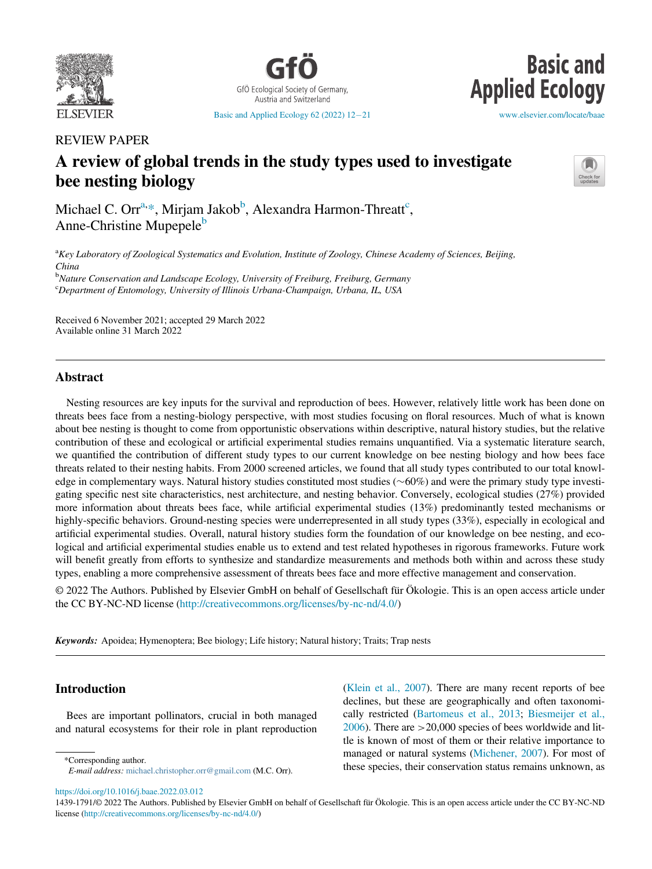

GfÖ Ecological Society of Germany Austria and Switzerland

**Basic and Applied Ecology** 

[Basic and Applied Ecology 62 \(2022\) 12](https://doi.org/10.1016/j.baae.2022.03.012)–[21](https://doi.org/10.1016/j.baae.2022.03.012) [www.elsevier.com/locate/baae](http://www.elsevier.com/locate/baae)

REVIEW PAPER

# A review of global trends in the study types used to investigate bee nesting biology



Mi[c](#page-0-3)hael C. Orr $^{a,\ast},$  $^{a,\ast},$  $^{a,\ast},$  Mirjam Jakob $^b$ , Alexandra Harmon-Threatt $^c,$ Anne-Christine Mupepele<sup>b</sup>

<span id="page-0-0"></span><sup>a</sup>Key Laboratory of Zoological Systematics and Evolution, Institute of Zoology, Chinese Academy of Sciences, Beijing, China <sup>b</sup>Nature Conservation and Landscape Ecology, University of Freiburg, Freiburg, Germany

<span id="page-0-3"></span><span id="page-0-2"></span><sup>c</sup>Department of Entomology, University of Illinois Urbana-Champaign, Urbana, IL, USA

Received 6 November 2021; accepted 29 March 2022 Available online 31 March 2022

## Abstract

Nesting resources are key inputs for the survival and reproduction of bees. However, relatively little work has been done on threats bees face from a nesting-biology perspective, with most studies focusing on floral resources. Much of what is known about bee nesting is thought to come from opportunistic observations within descriptive, natural history studies, but the relative contribution of these and ecological or artificial experimental studies remains unquantified. Via a systematic literature search, we quantified the contribution of different study types to our current knowledge on bee nesting biology and how bees face threats related to their nesting habits. From 2000 screened articles, we found that all study types contributed to our total knowledge in complementary ways. Natural history studies constituted most studies  $(\sim 60\%)$  and were the primary study type investigating specific nest site characteristics, nest architecture, and nesting behavior. Conversely, ecological studies (27%) provided more information about threats bees face, while artificial experimental studies (13%) predominantly tested mechanisms or highly-specific behaviors. Ground-nesting species were underrepresented in all study types (33%), especially in ecological and artificial experimental studies. Overall, natural history studies form the foundation of our knowledge on bee nesting, and ecological and artificial experimental studies enable us to extend and test related hypotheses in rigorous frameworks. Future work will benefit greatly from efforts to synthesize and standardize measurements and methods both within and across these study types, enabling a more comprehensive assessment of threats bees face and more effective management and conservation.

© 2022 The Authors. Published by Elsevier GmbH on behalf of Gesellschaft für Ökologie. This is an open access article under the CC BY-NC-ND license [\(http://creativecommons.org/licenses/by-nc-nd/4.0/](http://creativecommons.org/licenses/by-nc-nd/4.0/))

Keywords: Apoidea; Hymenoptera; Bee biology; Life history; Natural history; Traits; Trap nests

# Introduction

Bees are important pollinators, crucial in both managed and natural ecosystems for their role in plant reproduction

<span id="page-0-1"></span>

E-mail address: [michael.christopher.orr@gmail.com](mailto:michael.christopher.orr@gmail.com) (M.C. Orr).

([Klein et al., 2007\)](#page-7-0). There are many recent reports of bee declines, but these are geographically and often taxonomically restricted ([Bartomeus et al., 2013;](#page-7-1) [Biesmeijer et al.,](#page-7-2)  $2006$ ). There are  $>20,000$  species of bees worldwide and little is known of most of them or their relative importance to managed or natural systems ([Michener, 2007](#page-8-0)). For most of \*Corresponding author.<br>Final address mishael christopher org@gmail.com (M.C. Orr) these species, their conservation status remains unknown, as

<https://doi.org/10.1016/j.baae.2022.03.012>

<sup>1439-1791/© 2022</sup> The Authors. Published by Elsevier GmbH on behalf of Gesellschaft für Ökologie. This is an open access article under the CC BY-NC-ND license ([http://creativecommons.org/licenses/by-nc-nd/4.0/\)](http://creativecommons.org/licenses/by-nc-nd/4.0/)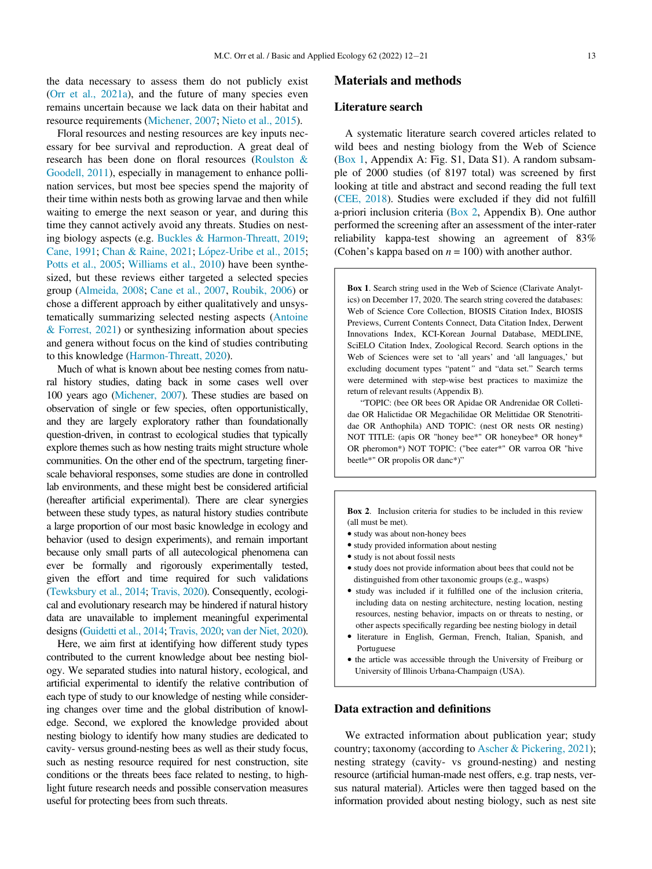the data necessary to assess them do not publicly exist ([Orr et al., 2021a\)](#page-8-1), and the future of many species even remains uncertain because we lack data on their habitat and resource requirements [\(Michener, 2007;](#page-8-0) [Nieto et al., 2015\)](#page-8-2).

Floral resources and nesting resources are key inputs necessary for bee survival and reproduction. A great deal of research has been done on floral resources [\(Roulston &](#page-8-3) [Goodell, 2011\)](#page-8-3), especially in management to enhance pollination services, but most bee species spend the majority of their time within nests both as growing larvae and then while waiting to emerge the next season or year, and during this time they cannot actively avoid any threats. Studies on nesting biology aspects (e.g. [Buckles & Harmon-Threatt, 2019;](#page-7-3) [Cane, 1991](#page-7-4); [Chan & Raine, 2021;](#page-7-5) [L](#page-7-6)ópez-Uribe et al., 2015; [Potts et al., 2005](#page-8-4); [Williams et al., 2010](#page-8-5)) have been synthesized, but these reviews either targeted a selected species group [\(Almeida, 2008;](#page-7-7) [Cane et al., 2007](#page-7-8), [Roubik, 2006](#page-8-6)) or chose a different approach by either qualitatively and unsystematically summarizing selected nesting aspects ([Antoine](#page-7-9) [& Forrest, 2021](#page-7-9)) or synthesizing information about species and genera without focus on the kind of studies contributing to this knowledge [\(Harmon-Threatt, 2020](#page-7-10)).

Much of what is known about bee nesting comes from natural history studies, dating back in some cases well over 100 years ago [\(Michener, 2007](#page-8-0)). These studies are based on observation of single or few species, often opportunistically, and they are largely exploratory rather than foundationally question-driven, in contrast to ecological studies that typically explore themes such as how nesting traits might structure whole communities. On the other end of the spectrum, targeting finerscale behavioral responses, some studies are done in controlled lab environments, and these might best be considered artificial (hereafter artificial experimental). There are clear synergies between these study types, as natural history studies contribute a large proportion of our most basic knowledge in ecology and behavior (used to design experiments), and remain important because only small parts of all autecological phenomena can ever be formally and rigorously experimentally tested, given the effort and time required for such validations ([Tewksbury et al., 2014](#page-8-7); [Travis, 2020](#page-8-8)). Consequently, ecological and evolutionary research may be hindered if natural history data are unavailable to implement meaningful experimental designs [\(Guidetti et al., 2014;](#page-7-11) [Travis, 2020;](#page-8-8) [van der Niet, 2020](#page-8-9)).

Here, we aim first at identifying how different study types contributed to the current knowledge about bee nesting biology. We separated studies into natural history, ecological, and artificial experimental to identify the relative contribution of each type of study to our knowledge of nesting while considering changes over time and the global distribution of knowledge. Second, we explored the knowledge provided about nesting biology to identify how many studies are dedicated to cavity- versus ground-nesting bees as well as their study focus, such as nesting resource required for nest construction, site conditions or the threats bees face related to nesting, to highlight future research needs and possible conservation measures useful for protecting bees from such threats.

#### Materials and methods

#### Literature search

A systematic literature search covered articles related to wild bees and nesting biology from the Web of Science (Box 1, Appendix A: Fig. S1, Data S1). A random subsample of 2000 studies (of 8197 total) was screened by first looking at title and abstract and second reading the full text ([CEE, 2018\)](#page-8-10). Studies were excluded if they did not fulfill a-priori inclusion criteria (Box 2, Appendix B). One author performed the screening after an assessment of the inter-rater reliability kappa-test showing an agreement of 83% (Cohen's kappa based on  $n = 100$ ) with another author.

Box 1. Search string used in the Web of Science (Clarivate Analytics) on December 17, 2020. The search string covered the databases: Web of Science Core Collection, BIOSIS Citation Index, BIOSIS Previews, Current Contents Connect, Data Citation Index, Derwent Innovations Index, KCI-Korean Journal Database, MEDLINE, SciELO Citation Index, Zoological Record. Search options in the Web of Sciences were set to 'all years' and 'all languages,' but excluding document types "patent" and "data set." Search terms were determined with step-wise best practices to maximize the return of relevant results (Appendix B).

"TOPIC: (bee OR bees OR Apidae OR Andrenidae OR Colletidae OR Halictidae OR Megachilidae OR Melittidae OR Stenotritidae OR Anthophila) AND TOPIC: (nest OR nests OR nesting) NOT TITLE: (apis OR "honey bee\*" OR honeybee\* OR honey\* OR pheromon\*) NOT TOPIC: ("bee eater\*" OR varroa OR "hive beetle\*" OR propolis OR danc\*)"

Box 2. Inclusion criteria for studies to be included in this review (all must be met).

- study was about non-honey bees
- study provided information about nesting
- study is not about fossil nests
- study does not provide information about bees that could not be distinguished from other taxonomic groups (e.g., wasps)
- study was included if it fulfilled one of the inclusion criteria, including data on nesting architecture, nesting location, nesting resources, nesting behavior, impacts on or threats to nesting, or other aspects specifically regarding bee nesting biology in detail
- literature in English, German, French, Italian, Spanish, and Portuguese
- $\bullet$  the article was accessible through the University of Freiburg or University of Illinois Urbana-Champaign (USA).

#### Data extraction and definitions

We extracted information about publication year; study country; taxonomy (according to [Ascher & Pickering, 2021\)](#page-7-12); nesting strategy (cavity- vs ground-nesting) and nesting resource (artificial human-made nest offers, e.g. trap nests, versus natural material). Articles were then tagged based on the information provided about nesting biology, such as nest site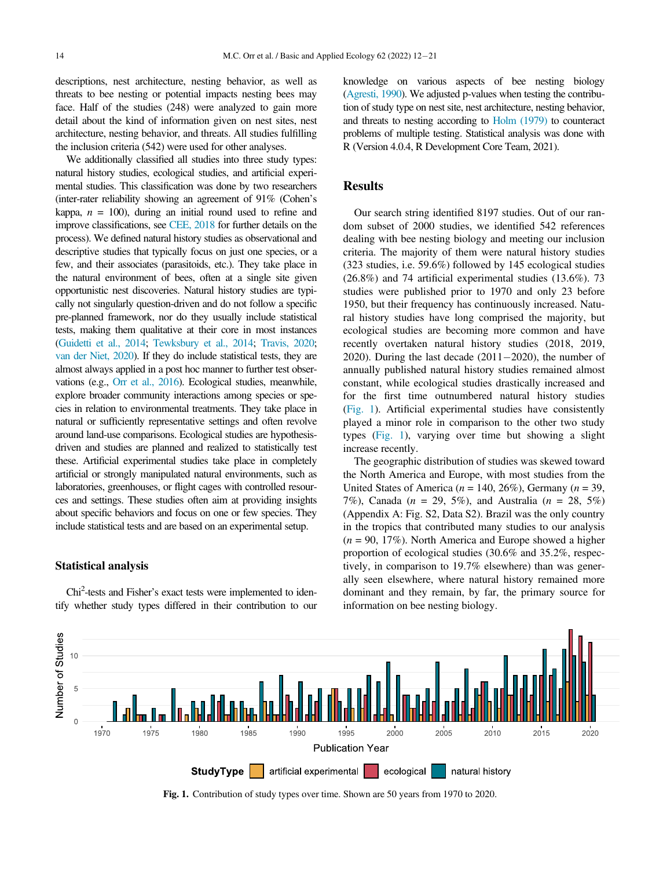descriptions, nest architecture, nesting behavior, as well as threats to bee nesting or potential impacts nesting bees may face. Half of the studies (248) were analyzed to gain more detail about the kind of information given on nest sites, nest architecture, nesting behavior, and threats. All studies fulfilling the inclusion criteria (542) were used for other analyses.

We additionally classified all studies into three study types: natural history studies, ecological studies, and artificial experimental studies. This classification was done by two researchers (inter-rater reliability showing an agreement of 91% (Cohen's kappa,  $n = 100$ ), during an initial round used to refine and improve classifications, see [CEE, 2018](#page-8-10) for further details on the process). We defined natural history studies as observational and descriptive studies that typically focus on just one species, or a few, and their associates (parasitoids, etc.). They take place in the natural environment of bees, often at a single site given opportunistic nest discoveries. Natural history studies are typically not singularly question-driven and do not follow a specific pre-planned framework, nor do they usually include statistical tests, making them qualitative at their core in most instances ([Guidetti et al., 2014;](#page-7-11) [Tewksbury et al., 2014](#page-8-7); [Travis, 2020](#page-8-8); [van der Niet, 2020](#page-8-9)). If they do include statistical tests, they are almost always applied in a post hoc manner to further test observations (e.g., [Orr et al., 2016](#page-8-11)). Ecological studies, meanwhile, explore broader community interactions among species or species in relation to environmental treatments. They take place in natural or sufficiently representative settings and often revolve around land-use comparisons. Ecological studies are hypothesisdriven and studies are planned and realized to statistically test these. Artificial experimental studies take place in completely artificial or strongly manipulated natural environments, such as laboratories, greenhouses, or flight cages with controlled resources and settings. These studies often aim at providing insights about specific behaviors and focus on one or few species. They include statistical tests and are based on an experimental setup.

#### Statistical analysis

Chi<sup>2</sup>-tests and Fisher's exact tests were implemented to identify whether study types differed in their contribution to our knowledge on various aspects of bee nesting biology ([Agresti, 1990\)](#page-7-13). We adjusted p-values when testing the contribution of study type on nest site, nest architecture, nesting behavior, and threats to nesting according to [Holm \(1979\)](#page-7-14) to counteract problems of multiple testing. Statistical analysis was done with R (Version 4.0.4, R Development Core Team, 2021).

### Results

Our search string identified 8197 studies. Out of our random subset of 2000 studies, we identified 542 references dealing with bee nesting biology and meeting our inclusion criteria. The majority of them were natural history studies (323 studies, i.e. 59.6%) followed by 145 ecological studies (26.8%) and 74 artificial experimental studies (13.6%). 73 studies were published prior to 1970 and only 23 before 1950, but their frequency has continuously increased. Natural history studies have long comprised the majority, but ecological studies are becoming more common and have recently overtaken natural history studies (2018, 2019, 2020). During the last decade  $(2011-2020)$ , the number of annually published natural history studies remained almost constant, while ecological studies drastically increased and for the first time outnumbered natural history studies ([Fig. 1](#page-2-0)). Artificial experimental studies have consistently played a minor role in comparison to the other two study types [\(Fig. 1\)](#page-2-0), varying over time but showing a slight increase recently.

The geographic distribution of studies was skewed toward the North America and Europe, with most studies from the United States of America ( $n = 140, 26\%$ ), Germany ( $n = 39$ , 7%), Canada ( $n = 29, 5\%$ ), and Australia ( $n = 28, 5\%$ ) (Appendix A: Fig. S2, Data S2). Brazil was the only country in the tropics that contributed many studies to our analysis  $(n = 90, 17\%)$ . North America and Europe showed a higher proportion of ecological studies (30.6% and 35.2%, respectively, in comparison to 19.7% elsewhere) than was generally seen elsewhere, where natural history remained more dominant and they remain, by far, the primary source for information on bee nesting biology.

<span id="page-2-0"></span>

Fig. 1. Contribution of study types over time. Shown are 50 years from 1970 to 2020.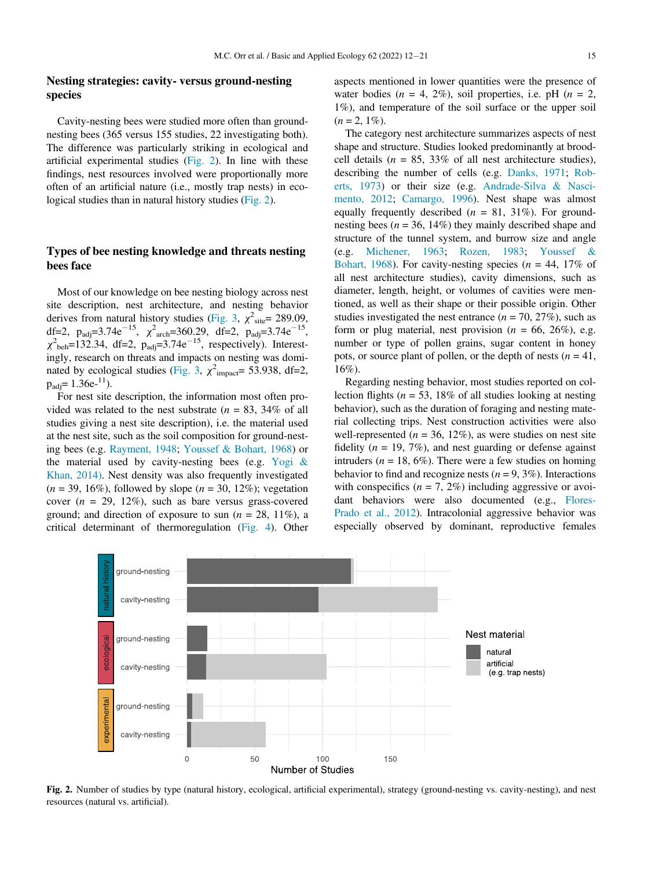## Nesting strategies: cavity- versus ground-nesting species

Cavity-nesting bees were studied more often than groundnesting bees (365 versus 155 studies, 22 investigating both). The difference was particularly striking in ecological and artificial experimental studies [\(Fig. 2](#page-3-0)). In line with these findings, nest resources involved were proportionally more often of an artificial nature (i.e., mostly trap nests) in ecological studies than in natural history studies [\(Fig. 2\)](#page-3-0).

## Types of bee nesting knowledge and threats nesting bees face

Most of our knowledge on bee nesting biology across nest site description, nest architecture, and nesting behavior derives from natural history studies ([Fig. 3,](#page-4-0)  $\chi^2_{\text{site}}$  = 289.09, df=2,  $p_{\text{adj}} = 3.74e^{-15}$ ,  $\chi^2$ <sub>arch</sub>=360.29, df=2,  $p_{\text{adj}} = 3.74e^{-15}$ ,  $\chi^2$ <sub>beh</sub>=132.34, df=2, p<sub>adj</sub>=3.74e<sup>-15</sup>, respectively). Interestingly, research on threats and impacts on nesting was domi-nated by ecological studies ([Fig. 3,](#page-4-0)  $\chi^2$ <sub>impact</sub>= 53.938, df=2,  $p_{\text{adi}}=1.36e^{-11}$ ).

For nest site description, the information most often provided was related to the nest substrate  $(n = 83, 34\%)$  of all studies giving a nest site description), i.e. the material used at the nest site, such as the soil composition for ground-nesting bees (e.g. [Rayment, 1948;](#page-8-12) [Youssef & Bohart, 1968\)](#page-9-0) or the material used by cavity-nesting bees (e.g. [Yogi &](#page-9-1) [Khan, 2014\).](#page-9-1) Nest density was also frequently investigated  $(n = 39, 16\%)$ , followed by slope  $(n = 30, 12\%)$ ; vegetation cover  $(n = 29, 12\%)$ , such as bare versus grass-covered ground; and direction of exposure to sun ( $n = 28$ , 11%), a critical determinant of thermoregulation ([Fig. 4](#page-4-1)). Other aspects mentioned in lower quantities were the presence of water bodies ( $n = 4$ , 2%), soil properties, i.e. pH ( $n = 2$ , 1%), and temperature of the soil surface or the upper soil  $(n = 2, 1\%)$ .

The category nest architecture summarizes aspects of nest shape and structure. Studies looked predominantly at broodcell details ( $n = 85$ , 33% of all nest architecture studies), describing the number of cells (e.g. [Danks, 1971;](#page-7-15) [Rob](#page-8-13)[erts, 1973](#page-8-13)) or their size (e.g. [Andrade-Silva & Nasci](#page-7-16)[mento, 2012;](#page-7-16) [Camargo, 1996](#page-7-17)). Nest shape was almost equally frequently described  $(n = 81, 31\%)$ . For groundnesting bees ( $n = 36$ , 14%) they mainly described shape and structure of the tunnel system, and burrow size and angle (e.g. [Michener, 1963;](#page-8-14) [Rozen, 1983](#page-8-15); [Youssef &](#page-9-0) [Bohart, 1968\)](#page-9-0). For cavity-nesting species ( $n = 44$ , 17% of all nest architecture studies), cavity dimensions, such as diameter, length, height, or volumes of cavities were mentioned, as well as their shape or their possible origin. Other studies investigated the nest entrance ( $n = 70, 27\%$ ), such as form or plug material, nest provision ( $n = 66, 26\%$ ), e.g. number or type of pollen grains, sugar content in honey pots, or source plant of pollen, or the depth of nests  $(n = 41,$ 16%).

Regarding nesting behavior, most studies reported on collection flights ( $n = 53$ , 18% of all studies looking at nesting behavior), such as the duration of foraging and nesting material collecting trips. Nest construction activities were also well-represented ( $n = 36, 12\%$ ), as were studies on nest site fidelity ( $n = 19, 7\%$ ), and nest guarding or defense against intruders ( $n = 18, 6\%$ ). There were a few studies on homing behavior to find and recognize nests ( $n = 9, 3\%$ ). Interactions with conspecifics  $(n = 7, 2\%)$  including aggressive or avoidant behaviors were also documented (e.g., [Flores-](#page-7-18)[Prado et al., 2012](#page-7-18)). Intracolonial aggressive behavior was especially observed by dominant, reproductive females

<span id="page-3-0"></span>

Fig. 2. Number of studies by type (natural history, ecological, artificial experimental), strategy (ground-nesting vs. cavity-nesting), and nest resources (natural vs. artificial).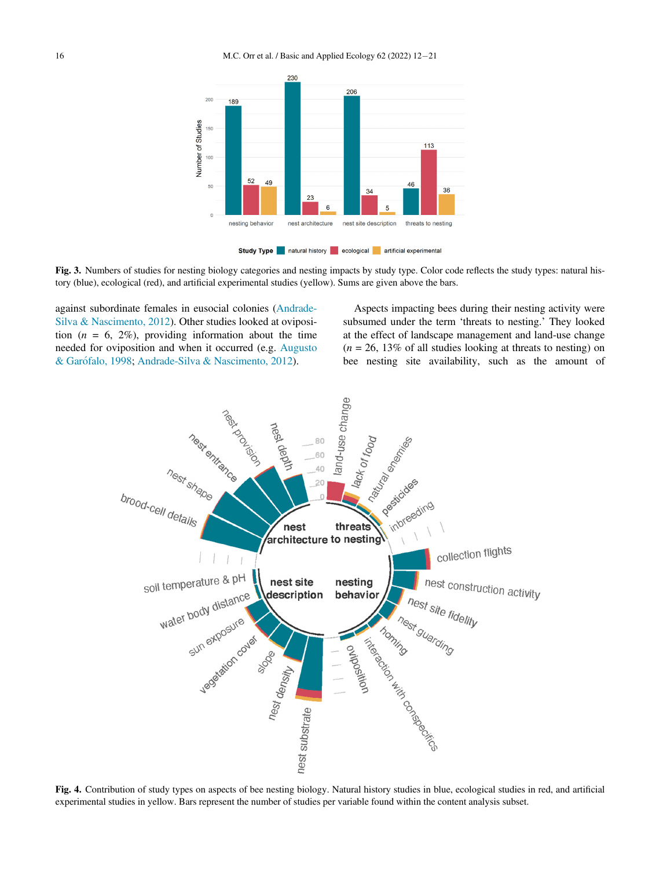<span id="page-4-0"></span>

Study Type natural history ecological artificial experimental



<span id="page-4-1"></span>against subordinate females in eusocial colonies [\(Andrade-](#page-7-16)[Silva & Nascimento, 2012](#page-7-16)). Other studies looked at oviposition  $(n = 6, 2\%)$ , providing information about the time needed for oviposition and when it occurred (e.g. [Augusto](#page-7-19) [& Gar](#page-7-19)[ofalo, 1998](#page-7-19); [Andrade-Silva & Nascimento, 2012](#page-7-16)).

Aspects impacting bees during their nesting activity were subsumed under the term 'threats to nesting.' They looked at the effect of landscape management and land-use change  $(n = 26, 13\%$  of all studies looking at threats to nesting) on bee nesting site availability, such as the amount of



Fig. 4. Contribution of study types on aspects of bee nesting biology. Natural history studies in blue, ecological studies in red, and artificial experimental studies in yellow. Bars represent the number of studies per variable found within the content analysis subset.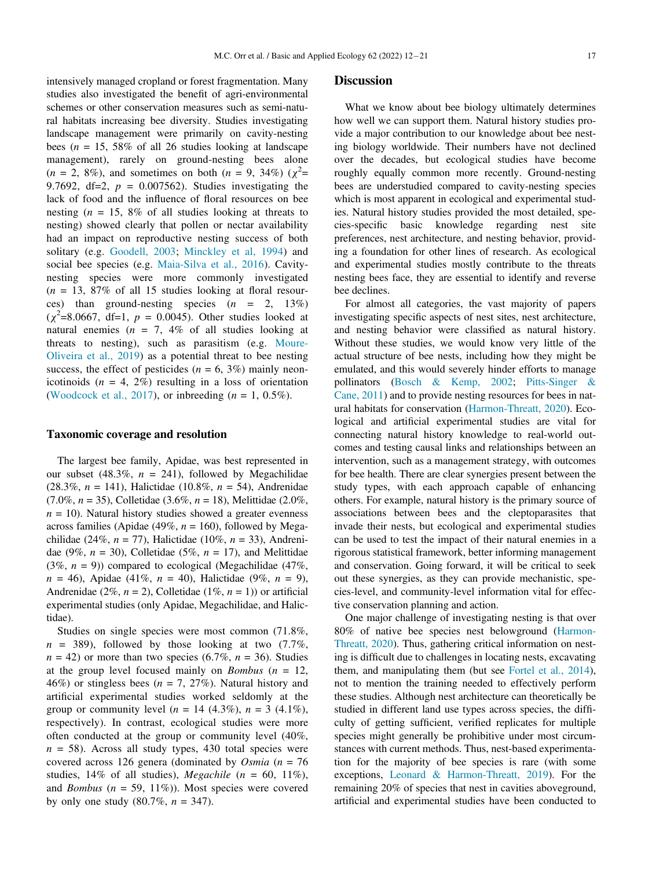intensively managed cropland or forest fragmentation. Many studies also investigated the benefit of agri-environmental schemes or other conservation measures such as semi-natural habitats increasing bee diversity. Studies investigating landscape management were primarily on cavity-nesting bees ( $n = 15$ , 58% of all 26 studies looking at landscape management), rarely on ground-nesting bees alone  $(n = 2, 8\%)$ , and sometimes on both  $(n = 9, 34\%) (\chi^2 =$ 9.7692, df=2,  $p = 0.007562$ ). Studies investigating the lack of food and the influence of floral resources on bee nesting ( $n = 15$ , 8% of all studies looking at threats to nesting) showed clearly that pollen or nectar availability had an impact on reproductive nesting success of both solitary (e.g. [Goodell, 2003;](#page-7-20) [Minckley et al, 1994\)](#page-8-16) and social bee species (e.g. [Maia-Silva et al., 2016](#page-8-17)). Cavitynesting species were more commonly investigated  $(n = 13, 87\%$  of all 15 studies looking at floral resources) than ground-nesting species  $(n = 2, 13\%)$  $(\chi^2 = 8.0667, df = 1, p = 0.0045)$ . Other studies looked at natural enemies ( $n = 7$ , 4% of all studies looking at threats to nesting), such as parasitism (e.g. [Moure-](#page-8-18)[Oliveira et al., 2019\)](#page-8-18) as a potential threat to bee nesting success, the effect of pesticides ( $n = 6, 3\%$ ) mainly neonicotinoids  $(n = 4, 2\%)$  resulting in a loss of orientation ([Woodcock et al., 2017](#page-8-19)), or inbreeding  $(n = 1, 0.5\%)$ .

#### Taxonomic coverage and resolution

The largest bee family, Apidae, was best represented in our subset (48.3%,  $n = 241$ ), followed by Megachilidae (28.3%,  $n = 141$ ), Halictidae (10.8%,  $n = 54$ ), Andrenidae (7.0%,  $n = 35$ ), Colletidae (3.6%,  $n = 18$ ), Melittidae (2.0%,  $n = 10$ ). Natural history studies showed a greater evenness across families (Apidae (49%,  $n = 160$ ), followed by Megachilidae (24%,  $n = 77$ ), Halictidae (10%,  $n = 33$ ), Andrenidae (9%,  $n = 30$ ), Colletidae (5%,  $n = 17$ ), and Melittidae (3%,  $n = 9$ )) compared to ecological (Megachilidae (47%,  $n = 46$ ), Apidae (41%,  $n = 40$ ), Halictidae (9%,  $n = 9$ ), Andrenidae (2%,  $n = 2$ ), Colletidae (1%,  $n = 1$ )) or artificial experimental studies (only Apidae, Megachilidae, and Halictidae).

Studies on single species were most common (71.8%,  $n = 389$ , followed by those looking at two (7.7%,  $n = 42$ ) or more than two species (6.7%,  $n = 36$ ). Studies at the group level focused mainly on *Bombus* ( $n = 12$ , 46%) or stingless bees ( $n = 7, 27\%$ ). Natural history and artificial experimental studies worked seldomly at the group or community level ( $n = 14$  (4.3%),  $n = 3$  (4.1%), respectively). In contrast, ecological studies were more often conducted at the group or community level (40%,  $n = 58$ ). Across all study types, 430 total species were covered across 126 genera (dominated by *Osmia* ( $n = 76$ ) studies, 14% of all studies), Megachile ( $n = 60, 11\%$ ), and *Bombus* ( $n = 59, 11\%)$ ). Most species were covered by only one study  $(80.7\%, n = 347)$ .

#### **Discussion**

What we know about bee biology ultimately determines how well we can support them. Natural history studies provide a major contribution to our knowledge about bee nesting biology worldwide. Their numbers have not declined over the decades, but ecological studies have become roughly equally common more recently. Ground-nesting bees are understudied compared to cavity-nesting species which is most apparent in ecological and experimental studies. Natural history studies provided the most detailed, species-specific basic knowledge regarding nest site preferences, nest architecture, and nesting behavior, providing a foundation for other lines of research. As ecological and experimental studies mostly contribute to the threats nesting bees face, they are essential to identify and reverse bee declines.

For almost all categories, the vast majority of papers investigating specific aspects of nest sites, nest architecture, and nesting behavior were classified as natural history. Without these studies, we would know very little of the actual structure of bee nests, including how they might be emulated, and this would severely hinder efforts to manage pollinators ([Bosch & Kemp, 2002;](#page-7-21) [Pitts-Singer &](#page-8-20) [Cane, 2011\)](#page-8-20) and to provide nesting resources for bees in natural habitats for conservation [\(Harmon-Threatt, 2020](#page-7-10)). Ecological and artificial experimental studies are vital for connecting natural history knowledge to real-world outcomes and testing causal links and relationships between an intervention, such as a management strategy, with outcomes for bee health. There are clear synergies present between the study types, with each approach capable of enhancing others. For example, natural history is the primary source of associations between bees and the cleptoparasites that invade their nests, but ecological and experimental studies can be used to test the impact of their natural enemies in a rigorous statistical framework, better informing management and conservation. Going forward, it will be critical to seek out these synergies, as they can provide mechanistic, species-level, and community-level information vital for effective conservation planning and action.

One major challenge of investigating nesting is that over 80% of native bee species nest belowground [\(Harmon-](#page-7-10)[Threatt, 2020](#page-7-10)). Thus, gathering critical information on nesting is difficult due to challenges in locating nests, excavating them, and manipulating them (but see [Fortel et al., 2014\)](#page-7-22), not to mention the training needed to effectively perform these studies. Although nest architecture can theoretically be studied in different land use types across species, the difficulty of getting sufficient, verified replicates for multiple species might generally be prohibitive under most circumstances with current methods. Thus, nest-based experimentation for the majority of bee species is rare (with some exceptions, [Leonard & Harmon-Threatt, 2019](#page-7-23)). For the remaining 20% of species that nest in cavities aboveground, artificial and experimental studies have been conducted to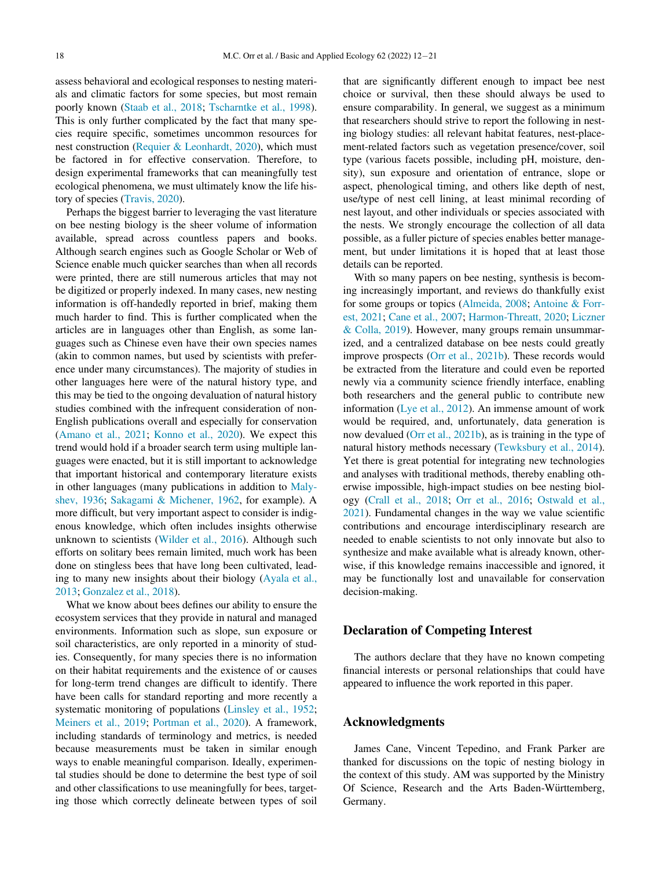assess behavioral and ecological responses to nesting materials and climatic factors for some species, but most remain poorly known ([Staab et al., 2018;](#page-8-21) [Tscharntke et al., 1998](#page-8-22)). This is only further complicated by the fact that many species require specific, sometimes uncommon resources for nest construction [\(Requier & Leonhardt, 2020\)](#page-8-23), which must be factored in for effective conservation. Therefore, to design experimental frameworks that can meaningfully test ecological phenomena, we must ultimately know the life history of species ([Travis, 2020](#page-8-8)).

Perhaps the biggest barrier to leveraging the vast literature on bee nesting biology is the sheer volume of information available, spread across countless papers and books. Although search engines such as Google Scholar or Web of Science enable much quicker searches than when all records were printed, there are still numerous articles that may not be digitized or properly indexed. In many cases, new nesting information is off-handedly reported in brief, making them much harder to find. This is further complicated when the articles are in languages other than English, as some languages such as Chinese even have their own species names (akin to common names, but used by scientists with preference under many circumstances). The majority of studies in other languages here were of the natural history type, and this may be tied to the ongoing devaluation of natural history studies combined with the infrequent consideration of non-English publications overall and especially for conservation ([Amano et al., 2021;](#page-7-24) [Konno et al., 2020](#page-7-25)). We expect this trend would hold if a broader search term using multiple languages were enacted, but it is still important to acknowledge that important historical and contemporary literature exists in other languages (many publications in addition to [Maly](#page-8-24)[shev, 1936;](#page-8-24) [Sakagami & Michener, 1962,](#page-8-25) for example). A more difficult, but very important aspect to consider is indigenous knowledge, which often includes insights otherwise unknown to scientists ([Wilder et al., 2016\)](#page-8-26). Although such efforts on solitary bees remain limited, much work has been done on stingless bees that have long been cultivated, leading to many new insights about their biology [\(Ayala et al.,](#page-7-26) [2013;](#page-7-26) [Gonzalez et al., 2018](#page-7-27)).

What we know about bees defines our ability to ensure the ecosystem services that they provide in natural and managed environments. Information such as slope, sun exposure or soil characteristics, are only reported in a minority of studies. Consequently, for many species there is no information on their habitat requirements and the existence of or causes for long-term trend changes are difficult to identify. There have been calls for standard reporting and more recently a systematic monitoring of populations ([Linsley et al., 1952](#page-7-28); [Meiners et al., 2019](#page-8-27); [Portman et al., 2020\)](#page-8-28). A framework, including standards of terminology and metrics, is needed because measurements must be taken in similar enough ways to enable meaningful comparison. Ideally, experimental studies should be done to determine the best type of soil and other classifications to use meaningfully for bees, targeting those which correctly delineate between types of soil

that are significantly different enough to impact bee nest choice or survival, then these should always be used to ensure comparability. In general, we suggest as a minimum that researchers should strive to report the following in nesting biology studies: all relevant habitat features, nest-placement-related factors such as vegetation presence/cover, soil type (various facets possible, including pH, moisture, density), sun exposure and orientation of entrance, slope or aspect, phenological timing, and others like depth of nest, use/type of nest cell lining, at least minimal recording of nest layout, and other individuals or species associated with the nests. We strongly encourage the collection of all data possible, as a fuller picture of species enables better management, but under limitations it is hoped that at least those details can be reported.

With so many papers on bee nesting, synthesis is becoming increasingly important, and reviews do thankfully exist for some groups or topics [\(Almeida, 2008;](#page-7-7) [Antoine & Forr](#page-7-9)[est, 2021;](#page-7-9) [Cane et al., 2007;](#page-7-8) [Harmon-Threatt, 2020](#page-7-10); [Liczner](#page-7-29) [& Colla, 2019](#page-7-29)). However, many groups remain unsummarized, and a centralized database on bee nests could greatly improve prospects [\(Orr et al., 2021b](#page-8-29)). These records would be extracted from the literature and could even be reported newly via a community science friendly interface, enabling both researchers and the general public to contribute new information ([Lye et al., 2012](#page-8-30)). An immense amount of work would be required, and, unfortunately, data generation is now devalued ([Orr et al., 2021b\)](#page-8-29), as is training in the type of natural history methods necessary ([Tewksbury et al., 2014](#page-8-7)). Yet there is great potential for integrating new technologies and analyses with traditional methods, thereby enabling otherwise impossible, high-impact studies on bee nesting biology ([Crall et al., 2018](#page-7-30); [Orr et al., 2016;](#page-8-11) [Ostwald et al.,](#page-8-31) [2021\)](#page-8-31). Fundamental changes in the way we value scientific contributions and encourage interdisciplinary research are needed to enable scientists to not only innovate but also to synthesize and make available what is already known, otherwise, if this knowledge remains inaccessible and ignored, it may be functionally lost and unavailable for conservation decision-making.

## Declaration of Competing Interest

The authors declare that they have no known competing financial interests or personal relationships that could have appeared to influence the work reported in this paper.

## Acknowledgments

James Cane, Vincent Tepedino, and Frank Parker are thanked for discussions on the topic of nesting biology in the context of this study. AM was supported by the Ministry Of Science, Research and the Arts Baden-Württemberg, Germany.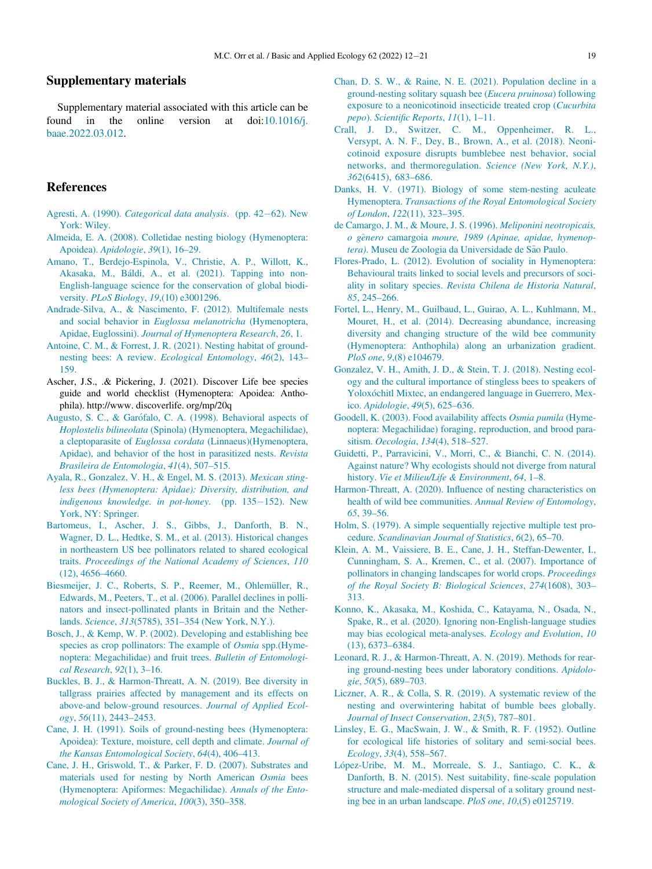## <span id="page-7-5"></span>Supplementary materials

<span id="page-7-30"></span>Supplementary material associated with this article can be found in the online version at doi[:10.1016/j.](https://doi.org/10.1016/j.baae.2022.03.012) [baae.2022.03.012.](https://doi.org/10.1016/j.baae.2022.03.012)

#### <span id="page-7-15"></span>References

- <span id="page-7-17"></span><span id="page-7-13"></span>Agresti, A. (1990). [Categorical data analysis](http://refhub.elsevier.com/S1439-1791(22)00033-0/sbref0001). (pp. 42–[62\). New](http://refhub.elsevier.com/S1439-1791(22)00033-0/sbref0001) [York: Wiley.](http://refhub.elsevier.com/S1439-1791(22)00033-0/sbref0001)
- <span id="page-7-7"></span>[Almeida, E. A. \(2008\). Colletidae nesting biology \(Hymenoptera:](http://refhub.elsevier.com/S1439-1791(22)00033-0/sbref0002) Apoidea). [Apidologie](http://refhub.elsevier.com/S1439-1791(22)00033-0/sbref0002), 39(1), 16–29.
- <span id="page-7-24"></span><span id="page-7-18"></span>[Amano, T., Berdejo-Espinola, V., Christie, A. P., Willott, K.,](http://refhub.elsevier.com/S1439-1791(22)00033-0/sbref0003) [Akasaka, M., B](http://refhub.elsevier.com/S1439-1791(22)00033-0/sbref0003)áldi, A., et al. (2021). Tapping into non-[English-language science for the conservation of global biodi](http://refhub.elsevier.com/S1439-1791(22)00033-0/sbref0003)versity. PLoS Biology, 19[,\(10\) e3001296.](http://refhub.elsevier.com/S1439-1791(22)00033-0/sbref0003)
- <span id="page-7-22"></span><span id="page-7-16"></span>[Andrade-Silva, A., & Nascimento, F. \(2012\). Multifemale nests](http://refhub.elsevier.com/S1439-1791(22)00033-0/sbref0004) and social behavior in [Euglossa melanotricha](http://refhub.elsevier.com/S1439-1791(22)00033-0/sbref0004) (Hymenoptera, Apidae, Euglossini). [Journal of Hymenoptera Research](http://refhub.elsevier.com/S1439-1791(22)00033-0/sbref0004), 26, 1.
- <span id="page-7-9"></span>[Antoine, C. M., & Forrest, J. R. \(2021\). Nesting habitat of ground](http://refhub.elsevier.com/S1439-1791(22)00033-0/sbref0005)[nesting bees: A review.](http://refhub.elsevier.com/S1439-1791(22)00033-0/sbref0005) Ecological Entomology, 46(2), 143– [159.](http://refhub.elsevier.com/S1439-1791(22)00033-0/sbref0005)
- <span id="page-7-27"></span><span id="page-7-12"></span>Ascher, J.S., .& Pickering, J. (2021). Discover Life bee species guide and world checklist (Hymenoptera: Apoidea: Anthophila). http://www. discoverlife. org/mp/20q
- <span id="page-7-20"></span><span id="page-7-19"></span>[Augusto, S. C., & Gar](http://refhub.elsevier.com/S1439-1791(22)00033-0/sbref0007)ó[falo, C. A. \(1998\). Behavioral aspects of](http://refhub.elsevier.com/S1439-1791(22)00033-0/sbref0007) Hoplostelis bilineolata [\(Spinola\) \(Hymenoptera, Megachilidae\),](http://refhub.elsevier.com/S1439-1791(22)00033-0/sbref0007) a cleptoparasite of Euglossa cordata [\(Linnaeus\)\(Hymenoptera,](http://refhub.elsevier.com/S1439-1791(22)00033-0/sbref0007) [Apidae\), and behavior of the host in parasitized nests.](http://refhub.elsevier.com/S1439-1791(22)00033-0/sbref0007) Revista [Brasileira de Entomologia](http://refhub.elsevier.com/S1439-1791(22)00033-0/sbref0007), 41(4), 507–515.
- <span id="page-7-26"></span><span id="page-7-11"></span><span id="page-7-10"></span>[Ayala, R., Gonzalez, V. H., & Engel, M. S. \(2013\).](http://refhub.elsevier.com/S1439-1791(22)00033-0/sbref0008) Mexican sting[less bees \(Hymenoptera: Apidae\): Diversity, distribution, and](http://refhub.elsevier.com/S1439-1791(22)00033-0/sbref0008) [indigenous knowledge. in pot-honey](http://refhub.elsevier.com/S1439-1791(22)00033-0/sbref0008). (pp.  $135-152$ ). New [York, NY: Springer.](http://refhub.elsevier.com/S1439-1791(22)00033-0/sbref0008)
- <span id="page-7-14"></span><span id="page-7-1"></span><span id="page-7-0"></span>[Bartomeus, I., Ascher, J. S., Gibbs, J., Danforth, B. N.,](http://refhub.elsevier.com/S1439-1791(22)00033-0/sbref0009) [Wagner, D. L., Hedtke, S. M., et al. \(2013\). Historical changes](http://refhub.elsevier.com/S1439-1791(22)00033-0/sbref0009) [in northeastern US bee pollinators related to shared ecological](http://refhub.elsevier.com/S1439-1791(22)00033-0/sbref0009) traits. [Proceedings of the National Academy of Sciences](http://refhub.elsevier.com/S1439-1791(22)00033-0/sbref0009), 110 [\(12\), 4656](http://refhub.elsevier.com/S1439-1791(22)00033-0/sbref0009)–4660.
- <span id="page-7-25"></span><span id="page-7-2"></span>[Biesmeijer, J. C., Roberts, S. P., Reemer, M., Ohlem](http://refhub.elsevier.com/S1439-1791(22)00033-0/sbref0010)ü[ller, R.,](http://refhub.elsevier.com/S1439-1791(22)00033-0/sbref0010) [Edwards, M., Peeters, T., et al. \(2006\). Parallel declines in polli](http://refhub.elsevier.com/S1439-1791(22)00033-0/sbref0010)[nators and insect-pollinated plants in Britain and the Nether](http://refhub.elsevier.com/S1439-1791(22)00033-0/sbref0010)lands. Science, 313(5785), 351–[354 \(New York, N.Y.\).](http://refhub.elsevier.com/S1439-1791(22)00033-0/sbref0010)
- <span id="page-7-23"></span><span id="page-7-21"></span>[Bosch, J., & Kemp, W. P. \(2002\). Developing and establishing bee](http://refhub.elsevier.com/S1439-1791(22)00033-0/sbref0012) [species as crop pollinators: The example of](http://refhub.elsevier.com/S1439-1791(22)00033-0/sbref0012) *Osmia* spp.(Hyme[noptera: Megachilidae\) and fruit trees.](http://refhub.elsevier.com/S1439-1791(22)00033-0/sbref0012) Bulletin of Entomologi[cal Research](http://refhub.elsevier.com/S1439-1791(22)00033-0/sbref0012), 92(1), 3–16.
- <span id="page-7-29"></span><span id="page-7-3"></span>[Buckles, B. J., & Harmon-Threatt, A. N. \(2019\). Bee diversity in](http://refhub.elsevier.com/S1439-1791(22)00033-0/sbref0013) [tallgrass prairies affected by management and its effects on](http://refhub.elsevier.com/S1439-1791(22)00033-0/sbref0013) [above-and below-ground resources.](http://refhub.elsevier.com/S1439-1791(22)00033-0/sbref0013) Journal of Applied Ecology, 56[\(11\), 2443](http://refhub.elsevier.com/S1439-1791(22)00033-0/sbref0013)–2453.
- <span id="page-7-28"></span><span id="page-7-4"></span>[Cane, J. H. \(1991\). Soils of ground-nesting bees \(Hymenoptera:](http://refhub.elsevier.com/S1439-1791(22)00033-0/sbref0014) [Apoidea\): Texture, moisture, cell depth and climate.](http://refhub.elsevier.com/S1439-1791(22)00033-0/sbref0014) Journal of [the Kansas Entomological Society](http://refhub.elsevier.com/S1439-1791(22)00033-0/sbref0014), 64(4), 406–413.
- <span id="page-7-8"></span><span id="page-7-6"></span>[Cane, J. H., Griswold, T., & Parker, F. D. \(2007\). Substrates and](http://refhub.elsevier.com/S1439-1791(22)00033-0/sbref0015) [materials used for nesting by North American](http://refhub.elsevier.com/S1439-1791(22)00033-0/sbref0015) Osmia bees [\(Hymenoptera: Apiformes: Megachilidae\).](http://refhub.elsevier.com/S1439-1791(22)00033-0/sbref0015) Annals of the Ento[mological Society of America](http://refhub.elsevier.com/S1439-1791(22)00033-0/sbref0015), 100(3), 350–358.
- [Chan, D. S. W., & Raine, N. E. \(2021\). Population decline in a](http://refhub.elsevier.com/S1439-1791(22)00033-0/sbref0016) [ground-nesting solitary squash bee \(](http://refhub.elsevier.com/S1439-1791(22)00033-0/sbref0016)Eucera pruinosa) following [exposure to a neonicotinoid insecticide treated crop \(](http://refhub.elsevier.com/S1439-1791(22)00033-0/sbref0016)Cucurbita pepo). Scientifi[c Reports](http://refhub.elsevier.com/S1439-1791(22)00033-0/sbref0016), 11(1), 1–11.
- [Crall, J. D., Switzer, C. M., Oppenheimer, R. L.,](http://refhub.elsevier.com/S1439-1791(22)00033-0/sbref0017) [Versypt, A. N. F., Dey, B., Brown, A., et al. \(2018\). Neoni](http://refhub.elsevier.com/S1439-1791(22)00033-0/sbref0017)[cotinoid exposure disrupts bumblebee nest behavior, social](http://refhub.elsevier.com/S1439-1791(22)00033-0/sbref0017) [networks, and thermoregulation.](http://refhub.elsevier.com/S1439-1791(22)00033-0/sbref0017) Science (New York, N.Y.), 362[\(6415\), 683](http://refhub.elsevier.com/S1439-1791(22)00033-0/sbref0017)–686.
- [Danks, H. V. \(1971\). Biology of some stem-nesting aculeate](http://refhub.elsevier.com/S1439-1791(22)00033-0/sbref0018) Hymenoptera. [Transactions of the Royal Entomological Society](http://refhub.elsevier.com/S1439-1791(22)00033-0/sbref0018) [of London](http://refhub.elsevier.com/S1439-1791(22)00033-0/sbref0018), 122(11), 323–395.
- [de Camargo, J. M., & Moure, J. S. \(1996\).](http://refhub.elsevier.com/S1439-1791(22)00033-0/sbref0019) Meliponini neotropicais, [o g](http://refhub.elsevier.com/S1439-1791(22)00033-0/sbref0019)^enero camargoia [moure, 1989 \(Apinae, apidae, hymenop-](http://refhub.elsevier.com/S1439-1791(22)00033-0/sbref0019)tera)[. Museu de Zoologia da Universidade de S](http://refhub.elsevier.com/S1439-1791(22)00033-0/sbref0019)ã[o Paulo.](http://refhub.elsevier.com/S1439-1791(22)00033-0/sbref0019)
- [Flores-Prado, L. \(2012\). Evolution of sociality in Hymenoptera:](http://refhub.elsevier.com/S1439-1791(22)00033-0/sbref0020) [Behavioural traits linked to social levels and precursors of soci](http://refhub.elsevier.com/S1439-1791(22)00033-0/sbref0020)ality in solitary species. [Revista Chilena de Historia Natural](http://refhub.elsevier.com/S1439-1791(22)00033-0/sbref0020), 85[, 245](http://refhub.elsevier.com/S1439-1791(22)00033-0/sbref0020)–266.
- [Fortel, L., Henry, M., Guilbaud, L., Guirao, A. L., Kuhlmann, M.,](http://refhub.elsevier.com/S1439-1791(22)00033-0/sbref0021) [Mouret, H., et al. \(2014\). Decreasing abundance, increasing](http://refhub.elsevier.com/S1439-1791(22)00033-0/sbref0021) [diversity and changing structure of the wild bee community](http://refhub.elsevier.com/S1439-1791(22)00033-0/sbref0021) [\(Hymenoptera: Anthophila\) along an urbanization gradient.](http://refhub.elsevier.com/S1439-1791(22)00033-0/sbref0021) PloS one, 9[,\(8\) e104679.](http://refhub.elsevier.com/S1439-1791(22)00033-0/sbref0021)
- [Gonzalez, V. H., Amith, J. D., & Stein, T. J. \(2018\). Nesting ecol](http://refhub.elsevier.com/S1439-1791(22)00033-0/sbref0022)[ogy and the cultural importance of stingless bees to speakers of](http://refhub.elsevier.com/S1439-1791(22)00033-0/sbref0022) [Yolox](http://refhub.elsevier.com/S1439-1791(22)00033-0/sbref0022)óchitl Mixtec, an endangered language in Guerrero, Mexico. [Apidologie](http://refhub.elsevier.com/S1439-1791(22)00033-0/sbref0022), 49(5), 625–636.
- [Goodell, K. \(2003\). Food availability affects](http://refhub.elsevier.com/S1439-1791(22)00033-0/sbref0023) Osmia pumila (Hyme[noptera: Megachilidae\) foraging, reproduction, and brood para](http://refhub.elsevier.com/S1439-1791(22)00033-0/sbref0023)sitism. [Oecologia](http://refhub.elsevier.com/S1439-1791(22)00033-0/sbref0023), 134(4), 518–527.
- [Guidetti, P., Parravicini, V., Morri, C., & Bianchi, C. N. \(2014\).](http://refhub.elsevier.com/S1439-1791(22)00033-0/sbref0024) [Against nature? Why ecologists should not diverge from natural](http://refhub.elsevier.com/S1439-1791(22)00033-0/sbref0024) history. [Vie et Milieu/Life & Environment](http://refhub.elsevier.com/S1439-1791(22)00033-0/sbref0024), 64, 1-8.
- Harmon-Threatt, A. (2020). Infl[uence of nesting characteristics on](http://refhub.elsevier.com/S1439-1791(22)00033-0/sbref0025) [health of wild bee communities.](http://refhub.elsevier.com/S1439-1791(22)00033-0/sbref0025) Annual Review of Entomology, 65[, 39](http://refhub.elsevier.com/S1439-1791(22)00033-0/sbref0025)–56.
- [Holm, S. \(1979\). A simple sequentially rejective multiple test pro](http://refhub.elsevier.com/S1439-1791(22)00033-0/sbref0026)cedure. [Scandinavian Journal of Statistics](http://refhub.elsevier.com/S1439-1791(22)00033-0/sbref0026), 6(2), 65–70.
- [Klein, A. M., Vaissiere, B. E., Cane, J. H., Steffan-Dewenter, I.,](http://refhub.elsevier.com/S1439-1791(22)00033-0/sbref0027) [Cunningham, S. A., Kremen, C., et al. \(2007\). Importance of](http://refhub.elsevier.com/S1439-1791(22)00033-0/sbref0027) [pollinators in changing landscapes for world crops.](http://refhub.elsevier.com/S1439-1791(22)00033-0/sbref0027) Proceedings [of the Royal Society B: Biological Sciences](http://refhub.elsevier.com/S1439-1791(22)00033-0/sbref0027), 274(1608), 303– [313.](http://refhub.elsevier.com/S1439-1791(22)00033-0/sbref0027)
- [Konno, K., Akasaka, M., Koshida, C., Katayama, N., Osada, N.,](http://refhub.elsevier.com/S1439-1791(22)00033-0/sbref0028) [Spake, R., et al. \(2020\). Ignoring non-English-language studies](http://refhub.elsevier.com/S1439-1791(22)00033-0/sbref0028) [may bias ecological meta-analyses.](http://refhub.elsevier.com/S1439-1791(22)00033-0/sbref0028) Ecology and Evolution, 10 [\(13\), 6373](http://refhub.elsevier.com/S1439-1791(22)00033-0/sbref0028)–6384.
- [Leonard, R. J., & Harmon-Threatt, A. N. \(2019\). Methods for rear](http://refhub.elsevier.com/S1439-1791(22)00033-0/opt9c5zY6JoBc)[ing ground-nesting bees under laboratory conditions.](http://refhub.elsevier.com/S1439-1791(22)00033-0/opt9c5zY6JoBc) Apidologie, 50[\(5\), 689](http://refhub.elsevier.com/S1439-1791(22)00033-0/opt9c5zY6JoBc)–703.
- [Liczner, A. R., & Colla, S. R. \(2019\). A systematic review of the](http://refhub.elsevier.com/S1439-1791(22)00033-0/sbref0029) [nesting and overwintering habitat of bumble bees globally.](http://refhub.elsevier.com/S1439-1791(22)00033-0/sbref0029) [Journal of Insect Conservation](http://refhub.elsevier.com/S1439-1791(22)00033-0/sbref0029), 23(5), 787–801.
- [Linsley, E. G., MacSwain, J. W., & Smith, R. F. \(1952\). Outline](http://refhub.elsevier.com/S1439-1791(22)00033-0/sbref0030) [for ecological life histories of solitary and semi-social bees.](http://refhub.elsevier.com/S1439-1791(22)00033-0/sbref0030) [Ecology](http://refhub.elsevier.com/S1439-1791(22)00033-0/sbref0030), 33(4), 558–567.
- [L](http://refhub.elsevier.com/S1439-1791(22)00033-0/sbref0031)ópez-Uribe, M. M., Morreale, S. J., Santiago, C. K., & [Danforth, B. N. \(2015\). Nest suitability,](http://refhub.elsevier.com/S1439-1791(22)00033-0/sbref0031) fine-scale population [structure and male-mediated dispersal of a solitary ground nest](http://refhub.elsevier.com/S1439-1791(22)00033-0/sbref0031)[ing bee in an urban landscape.](http://refhub.elsevier.com/S1439-1791(22)00033-0/sbref0031) PloS one, 10,(5) e0125719.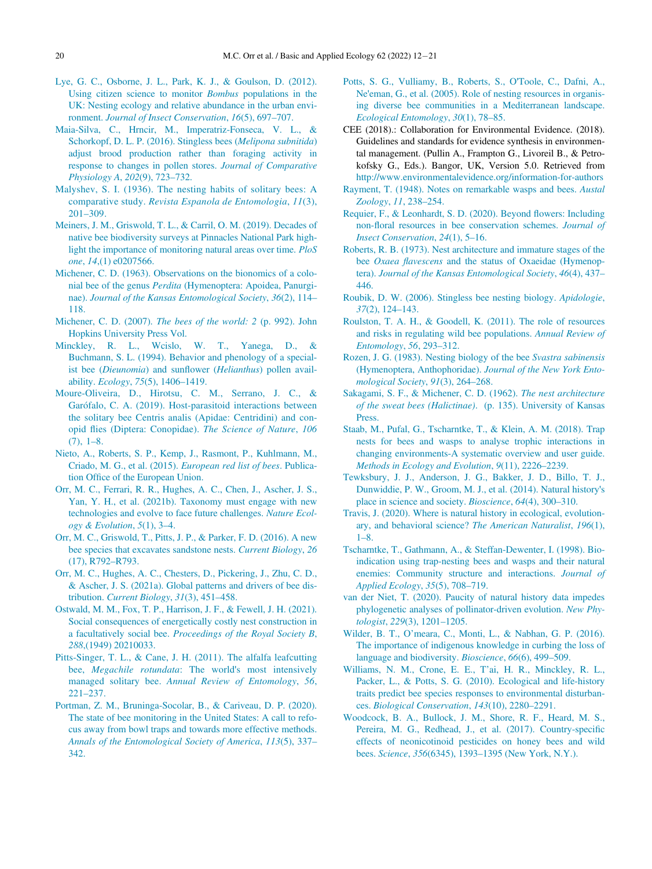- <span id="page-8-30"></span><span id="page-8-4"></span>[Lye, G. C., Osborne, J. L., Park, K. J., & Goulson, D. \(2012\).](http://refhub.elsevier.com/S1439-1791(22)00033-0/sbref0032) [Using citizen science to monitor](http://refhub.elsevier.com/S1439-1791(22)00033-0/sbref0032) Bombus populations in the [UK: Nesting ecology and relative abundance in the urban envi](http://refhub.elsevier.com/S1439-1791(22)00033-0/sbref0032)ronment. [Journal of Insect Conservation](http://refhub.elsevier.com/S1439-1791(22)00033-0/sbref0032), 16(5), 697–707.
- <span id="page-8-17"></span><span id="page-8-10"></span>[Maia-Silva, C., Hrncir, M., Imperatriz-Fonseca, V. L., &](http://refhub.elsevier.com/S1439-1791(22)00033-0/sbref0033) [Schorkopf, D. L. P. \(2016\). Stingless bees \(](http://refhub.elsevier.com/S1439-1791(22)00033-0/sbref0033)Melipona subnitida) [adjust brood production rather than foraging activity in](http://refhub.elsevier.com/S1439-1791(22)00033-0/sbref0033) [response to changes in pollen stores.](http://refhub.elsevier.com/S1439-1791(22)00033-0/sbref0033) Journal of Comparative [Physiology A](http://refhub.elsevier.com/S1439-1791(22)00033-0/sbref0033), 202(9), 723–732.
- <span id="page-8-24"></span><span id="page-8-12"></span>[Malyshev, S. I. \(1936\). The nesting habits of solitary bees: A](http://refhub.elsevier.com/S1439-1791(22)00033-0/sbref0034) comparative study. [Revista Espanola de Entomologia](http://refhub.elsevier.com/S1439-1791(22)00033-0/sbref0034), 11(3), 201–[309.](http://refhub.elsevier.com/S1439-1791(22)00033-0/sbref0034)
- <span id="page-8-27"></span><span id="page-8-23"></span><span id="page-8-13"></span>[Meiners, J. M., Griswold, T. L., & Carril, O. M. \(2019\). Decades of](http://refhub.elsevier.com/S1439-1791(22)00033-0/sbref0035) [native bee biodiversity surveys at Pinnacles National Park high](http://refhub.elsevier.com/S1439-1791(22)00033-0/sbref0035)[light the importance of monitoring natural areas over time.](http://refhub.elsevier.com/S1439-1791(22)00033-0/sbref0035) PloS one, 14[,\(1\) e0207566.](http://refhub.elsevier.com/S1439-1791(22)00033-0/sbref0035)
- <span id="page-8-14"></span><span id="page-8-6"></span>[Michener, C. D. \(1963\). Observations on the bionomics of a colo](http://refhub.elsevier.com/S1439-1791(22)00033-0/sbref0036)nial bee of the genus Perdita [\(Hymenoptera: Apoidea, Panurgi](http://refhub.elsevier.com/S1439-1791(22)00033-0/sbref0036)nae). [Journal of the Kansas Entomological Society](http://refhub.elsevier.com/S1439-1791(22)00033-0/sbref0036), 36(2), 114– [118.](http://refhub.elsevier.com/S1439-1791(22)00033-0/sbref0036)
- <span id="page-8-3"></span><span id="page-8-0"></span>Michener, C. D. (2007). [The bees of the world: 2](http://refhub.elsevier.com/S1439-1791(22)00033-0/sbref0037) (p. 992). John [Hopkins University Press Vol.](http://refhub.elsevier.com/S1439-1791(22)00033-0/sbref0037)
- <span id="page-8-16"></span><span id="page-8-15"></span>[Minckley, R. L., Wcislo, W. T., Yanega, D., &](http://refhub.elsevier.com/S1439-1791(22)00033-0/sbref0038) [Buchmann, S. L. \(1994\). Behavior and phenology of a special-](http://refhub.elsevier.com/S1439-1791(22)00033-0/sbref0038)ist bee (Dieunomia) and sunflower (Helianthus[\) pollen avail](http://refhub.elsevier.com/S1439-1791(22)00033-0/sbref0038)ability. Ecology, 75[\(5\), 1406](http://refhub.elsevier.com/S1439-1791(22)00033-0/sbref0038)–1419.
- <span id="page-8-25"></span><span id="page-8-18"></span>[Moure-Oliveira, D., Hirotsu, C. M., Serrano, J. C., &](http://refhub.elsevier.com/S1439-1791(22)00033-0/sbref0039) [Gar](http://refhub.elsevier.com/S1439-1791(22)00033-0/sbref0039)ó[falo, C. A. \(2019\). Host-parasitoid interactions between](http://refhub.elsevier.com/S1439-1791(22)00033-0/sbref0039) [the solitary bee Centris analis \(Apidae: Centridini\) and con](http://refhub.elsevier.com/S1439-1791(22)00033-0/sbref0039)opid fl[ies \(Diptera: Conopidae\).](http://refhub.elsevier.com/S1439-1791(22)00033-0/sbref0039) The Science of Nature, 106 [\(7\), 1](http://refhub.elsevier.com/S1439-1791(22)00033-0/sbref0039)–8.
- <span id="page-8-21"></span><span id="page-8-2"></span>[Nieto, A., Roberts, S. P., Kemp, J., Rasmont, P., Kuhlmann, M.,](http://refhub.elsevier.com/S1439-1791(22)00033-0/sbref0040) [Criado, M. G., et al. \(2015\).](http://refhub.elsevier.com/S1439-1791(22)00033-0/sbref0040) European red list of bees. Publication Offi[ce of the European Union.](http://refhub.elsevier.com/S1439-1791(22)00033-0/sbref0040)
- <span id="page-8-29"></span><span id="page-8-8"></span><span id="page-8-7"></span>[Orr, M. C., Ferrari, R. R., Hughes, A. C., Chen, J., Ascher, J. S.,](http://refhub.elsevier.com/S1439-1791(22)00033-0/sbref0041) [Yan, Y. H., et al. \(2021b\). Taxonomy must engage with new](http://refhub.elsevier.com/S1439-1791(22)00033-0/sbref0041) [technologies and evolve to face future challenges.](http://refhub.elsevier.com/S1439-1791(22)00033-0/sbref0041) Nature Ecol[ogy & Evolution](http://refhub.elsevier.com/S1439-1791(22)00033-0/sbref0041),  $5(1)$ ,  $3-4$ .
- <span id="page-8-22"></span><span id="page-8-11"></span>[Orr, M. C., Griswold, T., Pitts, J. P., & Parker, F. D. \(2016\). A new](http://refhub.elsevier.com/S1439-1791(22)00033-0/sbref0042) [bee species that excavates sandstone nests.](http://refhub.elsevier.com/S1439-1791(22)00033-0/sbref0042) Current Biology, 26 [\(17\), R792](http://refhub.elsevier.com/S1439-1791(22)00033-0/sbref0042)–R793.
- <span id="page-8-1"></span>[Orr, M. C., Hughes, A. C., Chesters, D., Pickering, J., Zhu, C. D.,](http://refhub.elsevier.com/S1439-1791(22)00033-0/sbref0043) [& Ascher, J. S. \(2021a\). Global patterns and drivers of bee dis](http://refhub.elsevier.com/S1439-1791(22)00033-0/sbref0043)tribution. [Current Biology](http://refhub.elsevier.com/S1439-1791(22)00033-0/sbref0043), 31(3), 451–458.
- <span id="page-8-31"></span><span id="page-8-26"></span><span id="page-8-9"></span>[Ostwald, M. M., Fox, T. P., Harrison, J. F., & Fewell, J. H. \(2021\).](http://refhub.elsevier.com/S1439-1791(22)00033-0/sbref0044) [Social consequences of energetically costly nest construction in](http://refhub.elsevier.com/S1439-1791(22)00033-0/sbref0044) a facultatively social bee. [Proceedings of the Royal Society B](http://refhub.elsevier.com/S1439-1791(22)00033-0/sbref0044), 288[,\(1949\) 20210033.](http://refhub.elsevier.com/S1439-1791(22)00033-0/sbref0044)
- <span id="page-8-20"></span><span id="page-8-5"></span>[Pitts-Singer, T. L., & Cane, J. H. \(2011\). The alfalfa leafcutting](http://refhub.elsevier.com/S1439-1791(22)00033-0/sbref0045) bee, [Megachile rotundata](http://refhub.elsevier.com/S1439-1791(22)00033-0/sbref0045): The world's most intensively managed solitary bee. [Annual Review of Entomology](http://refhub.elsevier.com/S1439-1791(22)00033-0/sbref0045), 56, 221–[237.](http://refhub.elsevier.com/S1439-1791(22)00033-0/sbref0045)
- <span id="page-8-28"></span><span id="page-8-19"></span>[Portman, Z. M., Bruninga-Socolar, B., & Cariveau, D. P. \(2020\).](http://refhub.elsevier.com/S1439-1791(22)00033-0/sbref0046) [The state of bee monitoring in the United States: A call to refo](http://refhub.elsevier.com/S1439-1791(22)00033-0/sbref0046)[cus away from bowl traps and towards more effective methods.](http://refhub.elsevier.com/S1439-1791(22)00033-0/sbref0046) [Annals of the Entomological Society of America](http://refhub.elsevier.com/S1439-1791(22)00033-0/sbref0046), 113(5), 337– [342.](http://refhub.elsevier.com/S1439-1791(22)00033-0/sbref0046)
- [Potts, S. G., Vulliamy, B., Roberts, S., O](http://refhub.elsevier.com/S1439-1791(22)00033-0/sbref0047)'Toole, C., Dafni, A., Ne'[eman, G., et al. \(2005\). Role of nesting resources in organis](http://refhub.elsevier.com/S1439-1791(22)00033-0/sbref0047)[ing diverse bee communities in a Mediterranean landscape.](http://refhub.elsevier.com/S1439-1791(22)00033-0/sbref0047) [Ecological Entomology](http://refhub.elsevier.com/S1439-1791(22)00033-0/sbref0047), 30(1), 78–85.
- CEE (2018).: Collaboration for Environmental Evidence. (2018). Guidelines and standards for evidence synthesis in environmental management. (Pullin A., Frampton G., Livoreil B., & Petrokofsky G., Eds.). Bangor, UK, Version 5.0. Retrieved from <http://www.environmentalevidence.org/information-for-authors>
- [Rayment, T. \(1948\). Notes on remarkable wasps and bees.](http://refhub.elsevier.com/S1439-1791(22)00033-0/sbref0049) Austal [Zoology](http://refhub.elsevier.com/S1439-1791(22)00033-0/sbref0049), 11, 238–254.
- [Requier, F., & Leonhardt, S. D. \(2020\). Beyond](http://refhub.elsevier.com/S1439-1791(22)00033-0/sbref0050) flowers: Including non-fl[oral resources in bee conservation schemes.](http://refhub.elsevier.com/S1439-1791(22)00033-0/sbref0050) Journal of [Insect Conservation](http://refhub.elsevier.com/S1439-1791(22)00033-0/sbref0050), 24(1), 5–16.
- [Roberts, R. B. \(1973\). Nest architecture and immature stages of the](http://refhub.elsevier.com/S1439-1791(22)00033-0/sbref0051) bee Oxaea flavescens [and the status of Oxaeidae \(Hymenop](http://refhub.elsevier.com/S1439-1791(22)00033-0/sbref0051)tera). [Journal of the Kansas Entomological Society](http://refhub.elsevier.com/S1439-1791(22)00033-0/sbref0051), 46(4), 437– [446.](http://refhub.elsevier.com/S1439-1791(22)00033-0/sbref0051)
- [Roubik, D. W. \(2006\). Stingless bee nesting biology.](http://refhub.elsevier.com/S1439-1791(22)00033-0/optDDa4kMyJHJ) Apidologie, 37[\(2\), 124](http://refhub.elsevier.com/S1439-1791(22)00033-0/optDDa4kMyJHJ)–143.
- [Roulston, T. A. H., & Goodell, K. \(2011\). The role of resources](http://refhub.elsevier.com/S1439-1791(22)00033-0/sbref0052) [and risks in regulating wild bee populations.](http://refhub.elsevier.com/S1439-1791(22)00033-0/sbref0052) Annual Review of [Entomology](http://refhub.elsevier.com/S1439-1791(22)00033-0/sbref0052), 56, 293–312.
- [Rozen, J. G. \(1983\). Nesting biology of the bee](http://refhub.elsevier.com/S1439-1791(22)00033-0/sbref0053) Svastra sabinensis [\(Hymenoptera, Anthophoridae\).](http://refhub.elsevier.com/S1439-1791(22)00033-0/sbref0053) Journal of the New York Ento[mological Society](http://refhub.elsevier.com/S1439-1791(22)00033-0/sbref0053), 91(3), 264–268.
- [Sakagami, S. F., & Michener, C. D. \(1962\).](http://refhub.elsevier.com/S1439-1791(22)00033-0/sbref0054) The nest architecture of the sweat bees (Halictinae)[. \(p. 135\). University of Kansas](http://refhub.elsevier.com/S1439-1791(22)00033-0/sbref0054) [Press.](http://refhub.elsevier.com/S1439-1791(22)00033-0/sbref0054)
- [Staab, M., Pufal, G., Tscharntke, T., & Klein, A. M. \(2018\). Trap](http://refhub.elsevier.com/S1439-1791(22)00033-0/sbref0055) [nests for bees and wasps to analyse trophic interactions in](http://refhub.elsevier.com/S1439-1791(22)00033-0/sbref0055) [changing environments-A systematic overview and user guide.](http://refhub.elsevier.com/S1439-1791(22)00033-0/sbref0055) [Methods in Ecology and Evolution](http://refhub.elsevier.com/S1439-1791(22)00033-0/sbref0055), 9(11), 2226–2239.
- [Tewksbury, J. J., Anderson, J. G., Bakker, J. D., Billo, T. J.,](http://refhub.elsevier.com/S1439-1791(22)00033-0/sbref0056) [Dunwiddie, P. W., Groom, M. J., et al. \(2014\). Natural history](http://refhub.elsevier.com/S1439-1791(22)00033-0/sbref0056)'s [place in science and society.](http://refhub.elsevier.com/S1439-1791(22)00033-0/sbref0056) Bioscience, 64(4), 300–310.
- [Travis, J. \(2020\). Where is natural history in ecological, evolution](http://refhub.elsevier.com/S1439-1791(22)00033-0/sbref0057)[ary, and behavioral science?](http://refhub.elsevier.com/S1439-1791(22)00033-0/sbref0057) The American Naturalist, 196(1), 1–[8.](http://refhub.elsevier.com/S1439-1791(22)00033-0/sbref0057)
- [Tscharntke, T., Gathmann, A., & Steffan-Dewenter, I. \(1998\). Bio](http://refhub.elsevier.com/S1439-1791(22)00033-0/sbref0058)[indication using trap-nesting bees and wasps and their natural](http://refhub.elsevier.com/S1439-1791(22)00033-0/sbref0058) [enemies: Community structure and interactions.](http://refhub.elsevier.com/S1439-1791(22)00033-0/sbref0058) Journal of [Applied Ecology](http://refhub.elsevier.com/S1439-1791(22)00033-0/sbref0058), 35(5), 708–719.
- [van der Niet, T. \(2020\). Paucity of natural history data impedes](http://refhub.elsevier.com/S1439-1791(22)00033-0/sbref0059) [phylogenetic analyses of pollinator-driven evolution.](http://refhub.elsevier.com/S1439-1791(22)00033-0/sbref0059) New Phytologist, 229[\(3\), 1201](http://refhub.elsevier.com/S1439-1791(22)00033-0/sbref0059)–1205.
- Wilder, B. T., O'[meara, C., Monti, L., & Nabhan, G. P. \(2016\).](http://refhub.elsevier.com/S1439-1791(22)00033-0/sbref0060) [The importance of indigenous knowledge in curbing the loss of](http://refhub.elsevier.com/S1439-1791(22)00033-0/sbref0060) [language and biodiversity.](http://refhub.elsevier.com/S1439-1791(22)00033-0/sbref0060) *Bioscience*, 66(6), 499–509.
- [Williams, N. M., Crone, E. E., T](http://refhub.elsevier.com/S1439-1791(22)00033-0/sbref0061)'ai, H. R., Minckley, R. L., [Packer, L., & Potts, S. G. \(2010\). Ecological and life-history](http://refhub.elsevier.com/S1439-1791(22)00033-0/sbref0061) [traits predict bee species responses to environmental disturban](http://refhub.elsevier.com/S1439-1791(22)00033-0/sbref0061)ces. [Biological Conservation](http://refhub.elsevier.com/S1439-1791(22)00033-0/sbref0061), 143(10), 2280–2291.
- [Woodcock, B. A., Bullock, J. M., Shore, R. F., Heard, M. S.,](http://refhub.elsevier.com/S1439-1791(22)00033-0/sbref0063) [Pereira, M. G., Redhead, J., et al. \(2017\). Country-speci](http://refhub.elsevier.com/S1439-1791(22)00033-0/sbref0063)fic [effects of neonicotinoid pesticides on honey bees and wild](http://refhub.elsevier.com/S1439-1791(22)00033-0/sbref0063) bees. Science, 356(6345), 1393–[1395 \(New York, N.Y.\).](http://refhub.elsevier.com/S1439-1791(22)00033-0/sbref0063)